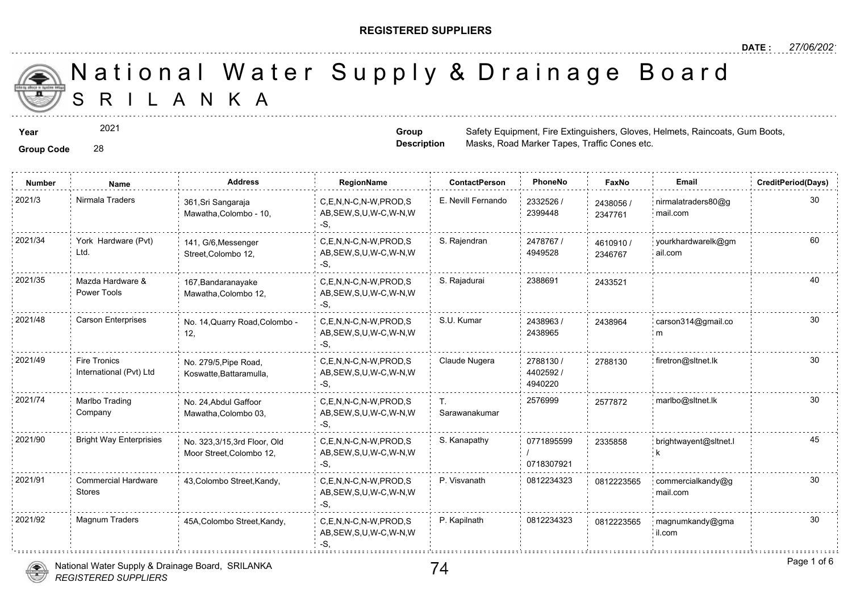### **REGISTERED SUPPLIERS**

**Group Description**

Masks, Road Marker Tapes, Traffic Co

A N K A National Water Supply & Drainage

**Year** Safety Equipment, Fire Extinguishers, Safety Equipment, Fire Extinguishers, Raincoats, Raincoats, Australian Boots, Australian Boots, Australian Boots, Australian Boots, Australian Boots, Australian Boots, Australia

2021

**Group Code** 28

**Number Name Address RegionName ContactPerson PhoneNo FaxNo Email CreditPeriod(Days)** 2021/3 Nirmala Traders 361,Sri Sangaraja C,E,N,N-C,N-W,PROD,S E. Nevill Fernando 2332526 / 243805 2332526 / 361,Sri Sangaraja 24380 AB,SEW,S,U,W-C,W-N,W 2399448 Mawatha,Colombo - 10, 234776 -S, 2021/34 York Hardware (Pvt) 141, G/6,Messenger C,E,N,N-C,N-W,PROD,S S. Rajendran 2478767 / 46109 York Hardware (Pvt) 2478767 / 141, G/6,Messenger 46109<sup></sup> Ltd. AB,SEW,S,U,W-C,W-N,W 4949528 Street,Colombo 12, 234676 -S, C,E,N,N-C,N-W,PROD,S S. Rajadurai 2388691 40 2021/35 2433521 Mazda Hardware & 167,Bandaranayake Power Tools AB,SEW,S,U,W-C,W-N,W Mawatha,Colombo 12, -S, 2021/48 Carson Enterprises No. 14,Quarry Road,Colombo - C,E,N,N-C,N-W,PROD,S S.U. Kumar 2438963 / 243896 C,E,N,N-C,N-W,PROD,S S.U. Kumar 2438963 / 243896 AB,SEW,S,U,W-C,W-N,W 2438965 12, -S, 2021/49 Fire Tronics No. 279/5, Pipe Road, C,E,N,N-C,N-W,PROD,S Claude Nugera 2788130 / 278813 Fire Tronics No. 279/5,Pipe Road, 2788130 / 278813 International (Pvt) Ltd Koswatte,Battaramulla, AB,SEW,S,U,W-C,W-N,W 4402592 / -S, 4940220 2021/74 Marlbo Trading No. 24, Abdul Gaffoor C,E,N,N-C,N-W,PROD,S T. 2576999 257787 Marlbo Trading No. 24,Abdul Gaffoor T. 2576999 257787 Company AB,SEW,S,U,W-C,W-N,W Sarawanakumar Mawatha,Colombo 03, -S, 2021/90 Bright Way Enterprisies No. 323,3/15,3rd Floor, Old C,E,N,N-C,N-W,PROD,S S. Kanapathy 0771895599 23358 No. 323,3/15,3rd Floor, Old 0771895599 23358 AB,SEW,S,U,W-C,W-N,W Moor Street,Colombo 12, / 0718307921 -S,  $C, E, N, N-C, N-W, PROD, S$  P. Visvanath 0812234323 2021/91 commercial Hardware 43,Colombo Street,Kandy, chemic C,E,N,N-C,N-W,PROD,S P. Visvanath 0812234323 081222 081222 Stores AB,SEW,S,U,W-C,W-N,W  $-S$ 2021/92 Magnum Traders 45A,Colombo Street,Kandy, C,E,N,N-C,N-W,PROD,S P. Kapilnath 0812234323 081222 AB,SEW,S,U,W-C,W-N,W -S, .<br>Procesorio

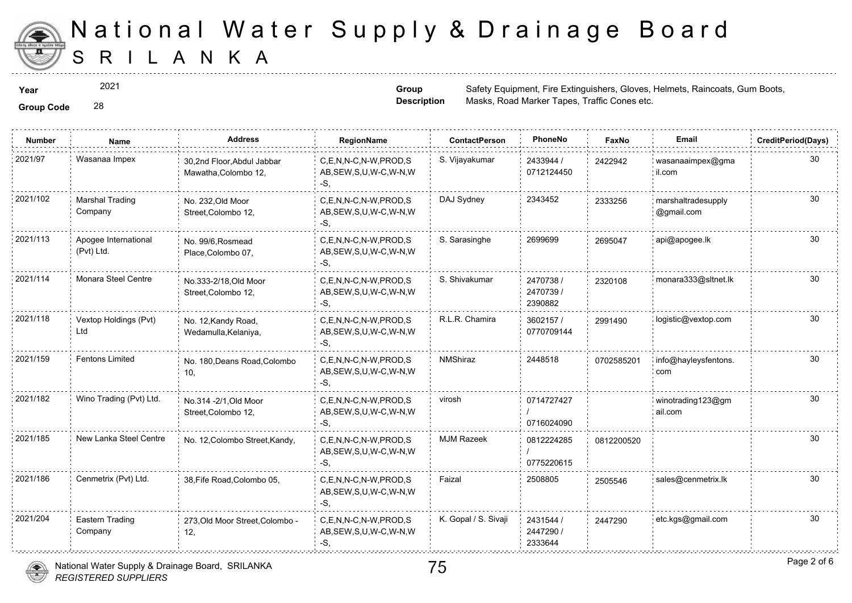

2021

**Group Description**

**Year** Safety Equipment, Fire Extinguishers, Safety Equipment, Fire Extinguishers, Raincoats, Raincoats, Gum Boots, Gum Boots, Gum Boots, Gum Boots, Gum Boots, Gum Boots, Gum Boots, Gum Boots, Gum Boots, Gum Boots, Gum Boo Masks, Road Marker Tapes, Traffic Co

**Group Code** 28

| <b>Number</b> | Name                               | <b>Address</b>                                     | <b>RegionName</b>                                            | <b>ContactPerson</b> | PhoneNo                           | Faxl   |
|---------------|------------------------------------|----------------------------------------------------|--------------------------------------------------------------|----------------------|-----------------------------------|--------|
| 2021/97       | Wasanaa Impex                      | 30,2nd Floor, Abdul Jabbar<br>Mawatha, Colombo 12, | C.E.N.N-C.N-W.PROD.S<br>AB, SEW, S, U, W-C, W-N, W<br>-S.    | S. Vijayakumar       | 2433944 /<br>0712124450           | 242294 |
| 2021/102      | <b>Marshal Trading</b><br>Company  | No. 232, Old Moor<br>Street, Colombo 12,           | C,E,N,N-C,N-W,PROD,S<br>AB, SEW, S, U, W-C, W-N, W<br>-S,    | DAJ Sydney           | 2343452                           | 233325 |
| 2021/113      | Apogee International<br>(Pvt) Ltd. | No. 99/6, Rosmead<br>Place, Colombo 07,            | C.E.N.N-C.N-W.PROD.S<br>AB, SEW, S, U, W-C, W-N, W<br>-S,    | S. Sarasinghe        | 2699699                           | 269504 |
| 2021/114      | Monara Steel Centre                | No.333-2/18, Old Moor<br>Street, Colombo 12,       | C.E.N.N-C.N-W.PROD.S<br>AB, SEW, S, U, W-C, W-N, W<br>-S.    | S. Shivakumar        | 2470738 /<br>2470739 /<br>2390882 | 232010 |
| 2021/118      | Vextop Holdings (Pvt)<br>Ltd       | No. 12, Kandy Road,<br>Wedamulla, Kelaniya,        | C,E,N,N-C,N-W,PROD,S<br>AB, SEW, S, U, W-C, W-N, W<br>-S.    | R.L.R. Chamira       | 3602157 /<br>0770709144           | 299149 |
| 2021/159      | <b>Fentons Limited</b>             | No. 180, Deans Road, Colombo<br>10,                | C,E,N,N-C,N-W,PROD,S<br>AB, SEW, S, U, W-C, W-N, W<br>-S,    | NMShiraz             | 2448518                           | 070258 |
| 2021/182      | Wino Trading (Pvt) Ltd.            | No.314 - 2/1, Old Moor<br>Street, Colombo 12,      | C.E.N.N-C.N-W.PROD.S<br>AB, SEW, S, U, W-C, W-N, W<br>$-S.$  | virosh               | 0714727427<br>0716024090          |        |
| 2021/185      | New Lanka Steel Centre             | No. 12, Colombo Street, Kandy,                     | C,E,N,N-C,N-W,PROD,S<br>AB, SEW, S, U, W-C, W-N, W<br>-S.    | <b>MJM Razeek</b>    | 0812224285<br>0775220615          | 081220 |
| 2021/186      | Cenmetrix (Pvt) Ltd.               | 38, Fife Road, Colombo 05,                         | C.E.N.N-C.N-W.PROD.S<br>AB, SEW, S, U, W-C, W-N, W<br>$-S$ . | Faizal               | 2508805                           | 250554 |
| 2021/204      | Eastern Trading<br>Company         | 273, Old Moor Street, Colombo -<br>12,             | C,E,N,N-C,N-W,PROD,S<br>AB, SEW, S, U, W-C, W-N, W<br>-S,    | K. Gopal / S. Sivaji | 2431544 /<br>2447290 /<br>2333644 | 244729 |

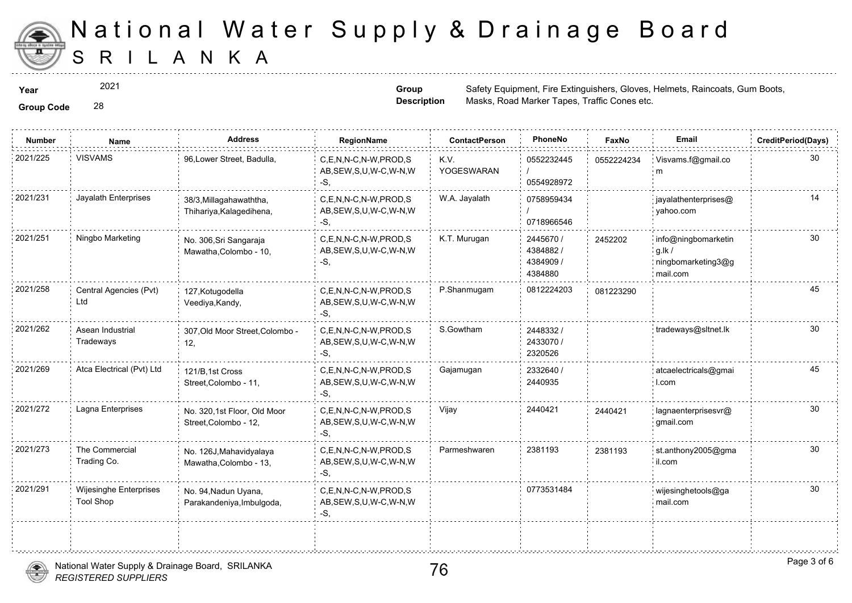

2021

**Group Code** 28

**Group Description**

**Year** Safety Equipment, Fire Extinguishers, Safety Equipment, Fire Extinguishers, Raincoats, Raincoats, Gum Boots, Gum Boots, Gum Boots, Gum Boots, Gum Boots, Gum Boots, Gum Boots, Gum Boots, Gum Boots, Gum Boots, Gum Boo Masks, Road Marker Tapes, Traffic Co

| <b>Group Code</b> |  |
|-------------------|--|

| <b>Number</b> | Name                                       | <b>Address</b>                                       | <b>RegionName</b>                                            | <b>ContactPerson</b> | PhoneNo                                       | Faxl   |
|---------------|--------------------------------------------|------------------------------------------------------|--------------------------------------------------------------|----------------------|-----------------------------------------------|--------|
| 2021/225      | <b>VISVAMS</b>                             | 96, Lower Street, Badulla,                           | C,E,N,N-C,N-W,PROD,S<br>AB, SEW, S, U, W-C, W-N, W<br>-S,    | K.V.<br>YOGESWARAN   | 0552232445<br>0554928972                      | 055222 |
| 2021/231      | Jayalath Enterprises                       | 38/3, Millagahawaththa,<br>Thihariya, Kalagedihena,  | C,E,N,N-C,N-W,PROD,S<br>AB, SEW, S, U, W-C, W-N, W<br>$-S$ , | W.A. Jayalath        | 0758959434<br>0718966546                      |        |
| 2021/251      | Ningbo Marketing                           | No. 306, Sri Sangaraja<br>Mawatha, Colombo - 10,     | C,E,N,N-C,N-W,PROD,S<br>AB, SEW, S, U, W-C, W-N, W<br>$-S$ , | K.T. Murugan         | 2445670 /<br>4384882/<br>4384909 /<br>4384880 | 245220 |
| 2021/258      | Central Agencies (Pvt)<br>Ltd              | 127, Kotugodella<br>Veediya, Kandy,                  | C,E,N,N-C,N-W,PROD,S<br>AB, SEW, S, U, W-C, W-N, W<br>-S.    | P.Shanmugam          | 0812224203                                    | 081223 |
| 2021/262      | Asean Industrial<br>Tradeways              | 307, Old Moor Street, Colombo -<br>12,               | C,E,N,N-C,N-W,PROD,S<br>AB, SEW, S, U, W-C, W-N, W<br>-S,    | S.Gowtham            | 2448332/<br>2433070 /<br>2320526              |        |
| 2021/269      | Atca Electrical (Pvt) Ltd                  | 121/B, 1st Cross<br>Street, Colombo - 11,            | C,E,N,N-C,N-W,PROD,S<br>AB, SEW, S, U, W-C, W-N, W<br>-S,    | Gajamugan            | 2332640 /<br>2440935                          |        |
| 2021/272      | Lagna Enterprises                          | No. 320,1st Floor, Old Moor<br>Street, Colombo - 12, | C,E,N,N-C,N-W,PROD,S<br>AB, SEW, S, U, W-C, W-N, W<br>-S,    | Vijay                | 2440421                                       | 244042 |
| 2021/273      | The Commercial<br>Trading Co.              | No. 126J, Mahavidyalaya<br>Mawatha, Colombo - 13,    | C,E,N,N-C,N-W,PROD,S<br>AB, SEW, S, U, W-C, W-N, W<br>-S,    | Parmeshwaren         | 2381193                                       | 238119 |
| 2021/291      | Wijesinghe Enterprises<br><b>Tool Shop</b> | No. 94, Nadun Uyana,<br>Parakandeniya, Imbulgoda,    | C.E.N.N-C.N-W.PROD.S<br>AB, SEW, S, U, W-C, W-N, W<br>-S,    |                      | 0773531484                                    |        |
|               |                                            |                                                      |                                                              |                      |                                               |        |



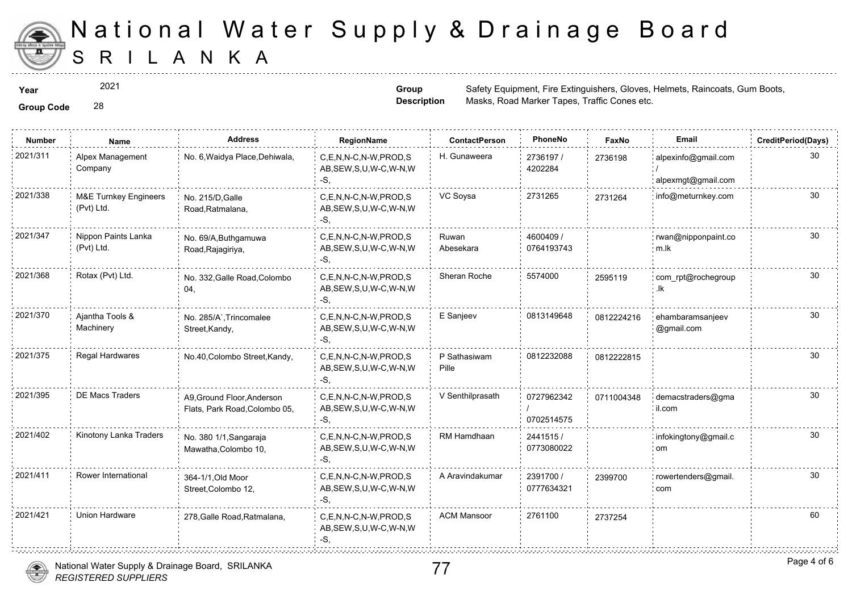

**Group Code** 28 2021

**Group Description**

**Year** Safety Equipment, Fire Extinguishers, Safety Equipment, Fire Extinguishers, Raincoats, Raincoats, Gum Boots, Gum Boots, Gum Boots, Gum Boots, Gum Boots, Gum Boots, Gum Boots, Gum Boots, Gum Boots, Gum Boots, Gum Boo Masks, Road Marker Tapes, Traffic Co

| <b>Group Code</b> |  |
|-------------------|--|
|                   |  |

| <b>Number</b> | Name                                           | <b>Address</b>                                              | RegionName                                                   | <b>ContactPerson</b>  | PhoneNo                  | Fax    |
|---------------|------------------------------------------------|-------------------------------------------------------------|--------------------------------------------------------------|-----------------------|--------------------------|--------|
| 2021/311      | Alpex Management<br>Company                    | No. 6, Waidya Place, Dehiwala,                              | C,E,N,N-C,N-W,PROD,S<br>AB, SEW, S, U, W-C, W-N, W<br>-S,    | H. Gunaweera          | 2736197 /<br>4202284     | 273619 |
| 2021/338      | <b>M&amp;E Turnkey Engineers</b><br>(Pvt) Ltd. | No. 215/D, Galle<br>Road, Ratmalana,                        | C,E,N,N-C,N-W,PROD,S<br>AB, SEW, S, U, W-C, W-N, W<br>-S,    | VC Soysa              | 2731265                  | 273126 |
| 2021/347      | Nippon Paints Lanka<br>(Pvt) Ltd.              | No. 69/A, Buthgamuwa<br>Road, Rajagiriya,                   | C.E.N.N-C.N-W.PROD.S<br>AB, SEW, S, U, W-C, W-N, W<br>-S,    | Ruwan<br>Abesekara    | 4600409 /<br>0764193743  |        |
| 2021/368      | Rotax (Pvt) Ltd.                               | No. 332, Galle Road, Colombo<br>04,                         | C,E,N,N-C,N-W,PROD,S<br>AB, SEW, S, U, W-C, W-N, W<br>-S,    | Sheran Roche          | 5574000                  | 25951  |
| 2021/370      | Ajantha Tools &<br>Machinery                   | No. 285/A`, Trincomalee<br>Street, Kandy,                   | C,E,N,N-C,N-W,PROD,S<br>AB, SEW, S, U, W-C, W-N, W<br>-S.    | E Sanjeev             | 0813149648               | 081222 |
| 2021/375      | Regal Hardwares                                | No.40, Colombo Street, Kandy,                               | C.E.N.N-C.N-W.PROD.S<br>AB, SEW, S, U, W-C, W-N, W<br>$-S$ . | P Sathasiwam<br>Pille | 0812232088               | 081222 |
| 2021/395      | DE Macs Traders                                | A9, Ground Floor, Anderson<br>Flats, Park Road, Colombo 05, | C.E.N.N-C.N-W.PROD.S<br>AB, SEW, S, U, W-C, W-N, W<br>-S,    | V Senthilprasath      | 0727962342<br>0702514575 | 071100 |
| 2021/402      | Kinotony Lanka Traders                         | No. 380 1/1, Sangaraja<br>Mawatha, Colombo 10,              | C,E,N,N-C,N-W,PROD,S<br>AB, SEW, S, U, W-C, W-N, W<br>$-S$ . | RM Hamdhaan           | 2441515/<br>0773080022   |        |
| 2021/411      | Rower International                            | 364-1/1, Old Moor<br>Street, Colombo 12,                    | C,E,N,N-C,N-W,PROD,S<br>AB, SEW, S, U, W-C, W-N, W<br>-S,    | A Aravindakumar       | 2391700 /<br>0777634321  | 239970 |
| 2021/421      | Union Hardware                                 | 278, Galle Road, Ratmalana,                                 | C.E.N.N-C.N-W.PROD.S<br>AB, SEW, S, U, W-C, W-N, W<br>-S,    | <b>ACM Mansoor</b>    | 2761100                  | 273725 |
|               |                                                |                                                             |                                                              |                       |                          |        |

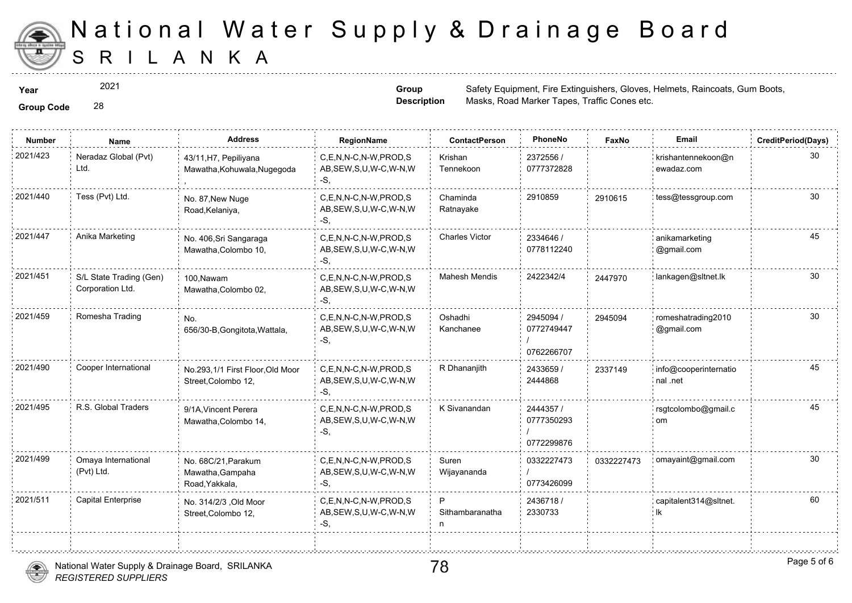

2021

**Group Code** 28

**Group Description**

**Year** Safety Equipment, Fire Extinguishers, Safety Equipment, Fire Extinguishers, Raincoats, Raincoats, Gum Boots, Gum Boots, Gum Boots, Gum Boots, Gum Boots, Gum Boots, Gum Boots, Gum Boots, Gum Boots, Gum Boots, Gum Boo Masks, Road Marker Tapes, Traffic Co

| <b>Group Code</b> |  |
|-------------------|--|

| <b>Number</b> | Name                                        | <b>Address</b>                                            | RegionName                                                   | <b>ContactPerson</b>  | PhoneNo                               | Faxl   |
|---------------|---------------------------------------------|-----------------------------------------------------------|--------------------------------------------------------------|-----------------------|---------------------------------------|--------|
| 2021/423      | Neradaz Global (Pvt)<br>Ltd.                | 43/11, H7, Pepiliyana<br>Mawatha, Kohuwala, Nugegoda      | C,E,N,N-C,N-W,PROD,S<br>AB, SEW, S, U, W-C, W-N, W<br>-S,    | Krishan<br>Tennekoon  | 2372556 /<br>0777372828               |        |
| 2021/440      | Tess (Pvt) Ltd.                             | No. 87, New Nuge<br>Road, Kelaniya,                       | C,E,N,N-C,N-W,PROD,S<br>AB, SEW, S, U, W-C, W-N, W<br>-S,    | Chaminda<br>Ratnayake | 2910859                               | 291061 |
| 2021/447      | Anika Marketing                             | No. 406, Sri Sangaraga<br>Mawatha, Colombo 10,            | C,E,N,N-C,N-W,PROD,S<br>AB, SEW, S, U, W-C, W-N, W<br>-S.    | <b>Charles Victor</b> | 2334646 /<br>0778112240               |        |
| 2021/451      | S/L State Trading (Gen)<br>Corporation Ltd. | 100.Nawam<br>Mawatha, Colombo 02,                         | C.E.N.N-C.N-W.PROD.S<br>AB, SEW, S, U, W-C, W-N, W<br>-S.    | <b>Mahesh Mendis</b>  | 2422342/4                             | 244797 |
| 2021/459      | Romesha Trading                             | No.<br>656/30-B, Gongitota, Wattala,                      | C.E.N.N-C.N-W.PROD.S<br>AB, SEW, S, U, W-C, W-N, W<br>-S,    | Oshadhi<br>Kanchanee  | 2945094 /<br>0772749447<br>0762266707 | 294509 |
| 2021/490      | Cooper International                        | No.293,1/1 First Floor, Old Moor<br>Street, Colombo 12,   | C,E,N,N-C,N-W,PROD,S<br>AB, SEW, S, U, W-C, W-N, W<br>-S.    | R Dhananjith          | 2433659 /<br>2444868                  | 233714 |
| 2021/495      | R.S. Global Traders                         | 9/1A, Vincent Perera<br>Mawatha, Colombo 14,              | C,E,N,N-C,N-W,PROD,S<br>AB, SEW, S, U, W-C, W-N, W<br>$-S$ . | K Sivanandan          | 2444357 /<br>0777350293<br>0772299876 |        |
| 2021/499      | Omaya International<br>(Pvt) Ltd.           | No. 68C/21, Parakum<br>Mawatha, Gampaha<br>Road, Yakkala, | C,E,N,N-C,N-W,PROD,S<br>AB, SEW, S, U, W-C, W-N, W<br>-S,    | Suren<br>Wijayananda  | 0332227473<br>0773426099              | 033222 |
| 2021/511      | <b>Capital Enterprise</b>                   | No. 314/2/3 , Old Moor<br>Street, Colombo 12,             | C.E.N.N-C.N-W.PROD.S<br>AB, SEW, S, U, W-C, W-N, W<br>-S.    | P<br>Sithambaranatha  | 2436718/<br>2330733                   |        |
|               |                                             |                                                           |                                                              |                       |                                       |        |